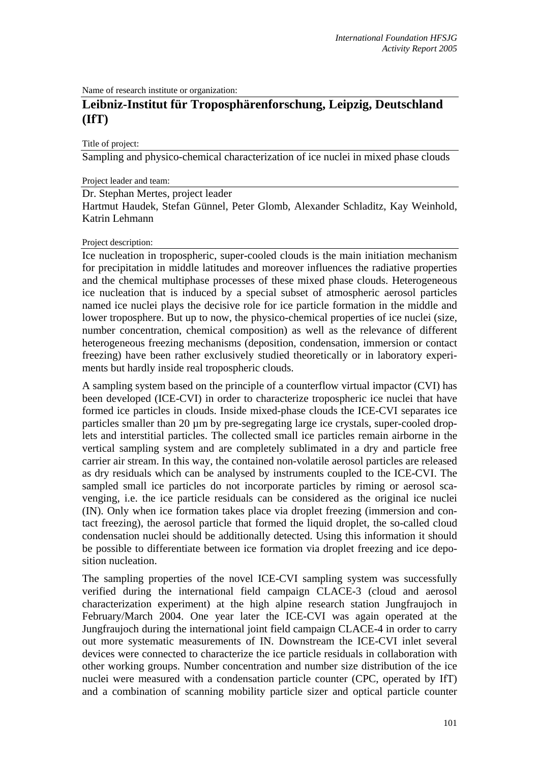Name of research institute or organization:

## **Leibniz-Institut für Troposphärenforschung, Leipzig, Deutschland (IfT)**

Title of project:

Sampling and physico-chemical characterization of ice nuclei in mixed phase clouds

## Project leader and team:

Dr. Stephan Mertes, project leader

Hartmut Haudek, Stefan Günnel, Peter Glomb, Alexander Schladitz, Kay Weinhold, Katrin Lehmann

## Project description:

Ice nucleation in tropospheric, super-cooled clouds is the main initiation mechanism for precipitation in middle latitudes and moreover influences the radiative properties and the chemical multiphase processes of these mixed phase clouds. Heterogeneous ice nucleation that is induced by a special subset of atmospheric aerosol particles named ice nuclei plays the decisive role for ice particle formation in the middle and lower troposphere. But up to now, the physico-chemical properties of ice nuclei (size, number concentration, chemical composition) as well as the relevance of different heterogeneous freezing mechanisms (deposition, condensation, immersion or contact freezing) have been rather exclusively studied theoretically or in laboratory experiments but hardly inside real tropospheric clouds.

A sampling system based on the principle of a counterflow virtual impactor (CVI) has been developed (ICE-CVI) in order to characterize tropospheric ice nuclei that have formed ice particles in clouds. Inside mixed-phase clouds the ICE-CVI separates ice particles smaller than 20 µm by pre-segregating large ice crystals, super-cooled droplets and interstitial particles. The collected small ice particles remain airborne in the vertical sampling system and are completely sublimated in a dry and particle free carrier air stream. In this way, the contained non-volatile aerosol particles are released as dry residuals which can be analysed by instruments coupled to the ICE-CVI. The sampled small ice particles do not incorporate particles by riming or aerosol scavenging, i.e. the ice particle residuals can be considered as the original ice nuclei (IN). Only when ice formation takes place via droplet freezing (immersion and contact freezing), the aerosol particle that formed the liquid droplet, the so-called cloud condensation nuclei should be additionally detected. Using this information it should be possible to differentiate between ice formation via droplet freezing and ice deposition nucleation.

The sampling properties of the novel ICE-CVI sampling system was successfully verified during the international field campaign CLACE-3 (cloud and aerosol characterization experiment) at the high alpine research station Jungfraujoch in February/March 2004. One year later the ICE-CVI was again operated at the Jungfraujoch during the international joint field campaign CLACE-4 in order to carry out more systematic measurements of IN. Downstream the ICE-CVI inlet several devices were connected to characterize the ice particle residuals in collaboration with other working groups. Number concentration and number size distribution of the ice nuclei were measured with a condensation particle counter (CPC, operated by IfT) and a combination of scanning mobility particle sizer and optical particle counter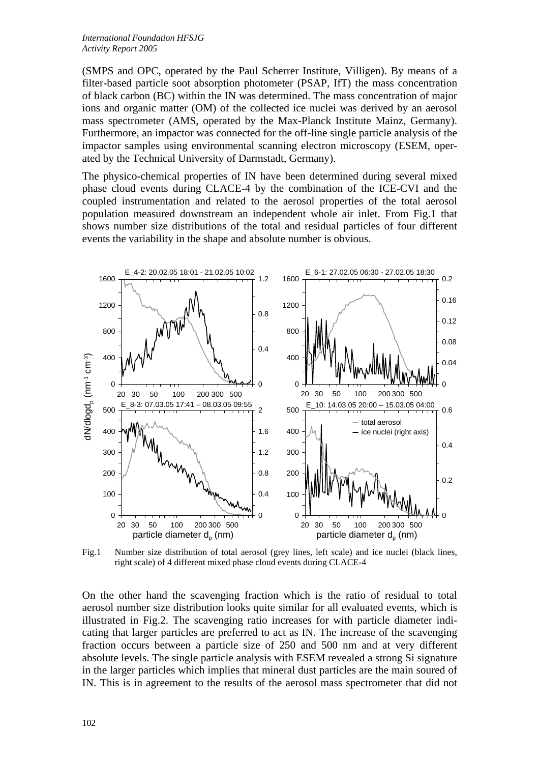(SMPS and OPC, operated by the Paul Scherrer Institute, Villigen). By means of a filter-based particle soot absorption photometer (PSAP, IfT) the mass concentration of black carbon (BC) within the IN was determined. The mass concentration of major ions and organic matter (OM) of the collected ice nuclei was derived by an aerosol mass spectrometer (AMS, operated by the Max-Planck Institute Mainz, Germany). Furthermore, an impactor was connected for the off-line single particle analysis of the impactor samples using environmental scanning electron microscopy (ESEM, operated by the Technical University of Darmstadt, Germany).

The physico-chemical properties of IN have been determined during several mixed phase cloud events during CLACE-4 by the combination of the ICE-CVI and the coupled instrumentation and related to the aerosol properties of the total aerosol population measured downstream an independent whole air inlet. From Fig.1 that shows number size distributions of the total and residual particles of four different events the variability in the shape and absolute number is obvious.



Fig.1 Number size distribution of total aerosol (grey lines, left scale) and ice nuclei (black lines, right scale) of 4 different mixed phase cloud events during CLACE-4

On the other hand the scavenging fraction which is the ratio of residual to total aerosol number size distribution looks quite similar for all evaluated events, which is illustrated in Fig.2. The scavenging ratio increases for with particle diameter indicating that larger particles are preferred to act as IN. The increase of the scavenging fraction occurs between a particle size of 250 and 500 nm and at very different absolute levels. The single particle analysis with ESEM revealed a strong Si signature in the larger particles which implies that mineral dust particles are the main soured of IN. This is in agreement to the results of the aerosol mass spectrometer that did not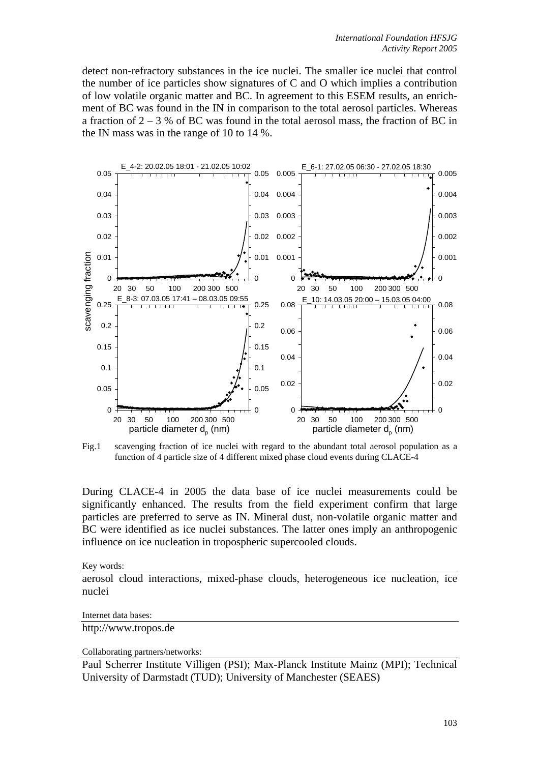detect non-refractory substances in the ice nuclei. The smaller ice nuclei that control the number of ice particles show signatures of C and O which implies a contribution of low volatile organic matter and BC. In agreement to this ESEM results, an enrichment of BC was found in the IN in comparison to the total aerosol particles. Whereas a fraction of  $2 - 3$  % of BC was found in the total aerosol mass, the fraction of BC in the IN mass was in the range of 10 to 14 %.



Fig.1 scavenging fraction of ice nuclei with regard to the abundant total aerosol population as a function of 4 particle size of 4 different mixed phase cloud events during CLACE-4

During CLACE-4 in 2005 the data base of ice nuclei measurements could be significantly enhanced. The results from the field experiment confirm that large particles are preferred to serve as IN. Mineral dust, non-volatile organic matter and BC were identified as ice nuclei substances. The latter ones imply an anthropogenic influence on ice nucleation in tropospheric supercooled clouds.

Key words:

aerosol cloud interactions, mixed-phase clouds, heterogeneous ice nucleation, ice nuclei

Internet data bases:

http://www.tropos.de

Collaborating partners/networks:

Paul Scherrer Institute Villigen (PSI); Max-Planck Institute Mainz (MPI); Technical University of Darmstadt (TUD); University of Manchester (SEAES)